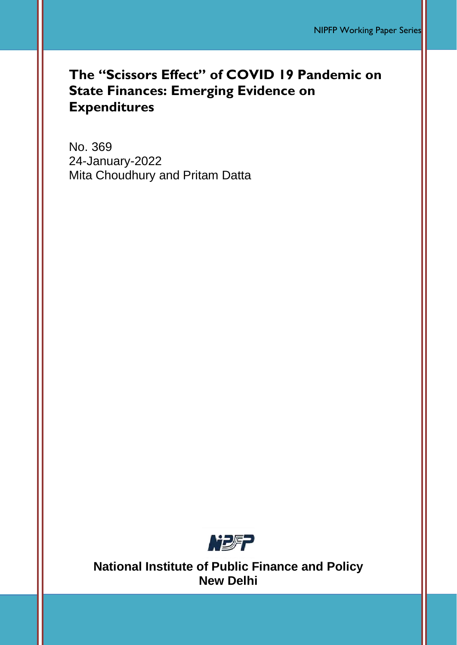# **The "Scissors Effect" of COVID 19 Pandemic on State Finances: Emerging Evidence on Expenditures**

No. 369 24-January-2022 Mita Choudhury and Pritam Datta



**National Institute of Public Finance and Policy New Delhi**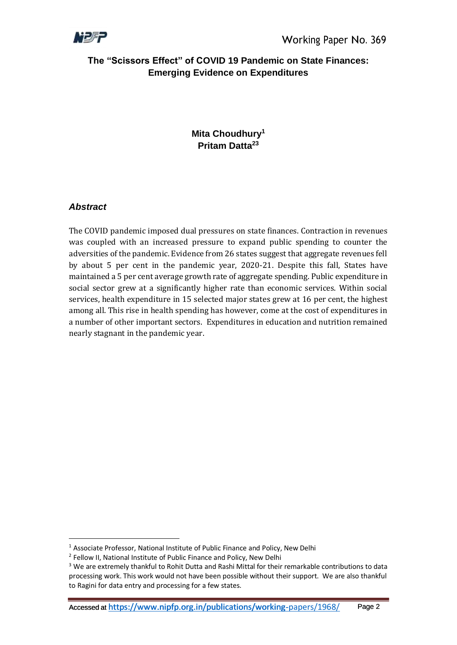

## **The "Scissors Effect" of COVID 19 Pandemic on State Finances: Emerging Evidence on Expenditures**

## **Mita Choudhury<sup>1</sup> Pritam Datta<sup>23</sup>**

## *Abstract*

The COVID pandemic imposed dual pressures on state finances. Contraction in revenues was coupled with an increased pressure to expand public spending to counter the adversities of the pandemic. Evidence from 26 states suggest that aggregate revenues fell by about 5 per cent in the pandemic year, 2020-21. Despite this fall, States have maintained a 5 per cent average growth rate of aggregate spending. Public expenditure in social sector grew at a significantly higher rate than economic services. Within social services, health expenditure in 15 selected major states grew at 16 per cent, the highest among all. This rise in health spending has however, come at the cost of expenditures in a number of other important sectors. Expenditures in education and nutrition remained nearly stagnant in the pandemic year.

<sup>&</sup>lt;sup>1</sup> Associate Professor, National Institute of Public Finance and Policy, New Delhi

<sup>&</sup>lt;sup>2</sup> Fellow II, National Institute of Public Finance and Policy, New Delhi

<sup>&</sup>lt;sup>3</sup> We are extremely thankful to Rohit Dutta and Rashi Mittal for their remarkable contributions to data processing work. This work would not have been possible without their support. We are also thankful to Ragini for data entry and processing for a few states.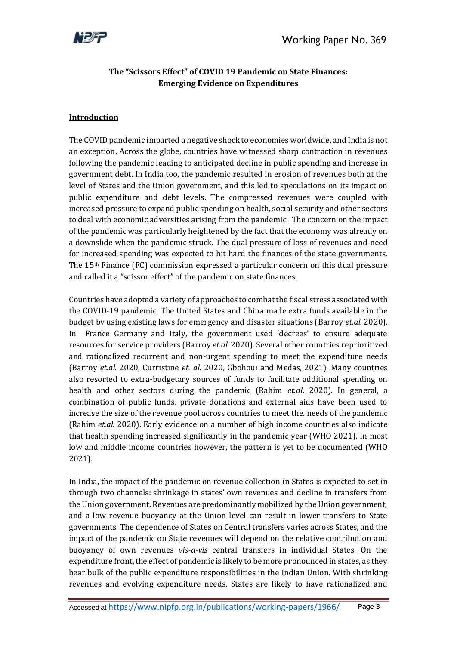

## **The "Scissors Effect" of COVID 19 Pandemic on State Finances: Emerging Evidence on Expenditures**

#### **Introduction**

The COVID pandemic imparted a negative shock to economies worldwide, and India is not an exception. Across the globe, countries have witnessed sharp contraction in revenues following the pandemic leading to anticipated decline in public spending and increase in government debt. In India too, the pandemic resulted in erosion of revenues both at the level of States and the Union government, and this led to speculations on its impact on public expenditure and debt levels. The compressed revenues were coupled with increased pressure to expand public spending on health, social security and other sectors to deal with economic adversities arising from the pandemic. The concern on the impact of the pandemic was particularly heightened by the fact that the economy was already on a downslide when the pandemic struck. The dual pressure of loss of revenues and need for increased spending was expected to hit hard the finances of the state governments. The 15th Finance (FC) commission expressed a particular concern on this dual pressure and called it a "scissor effect" of the pandemic on state finances.

Countries have adopted a variety of approaches to combat the fiscal stress associated with the COVID-19 pandemic. The United States and China made extra funds available in the budget by using existing laws for emergency and disaster situations (Barroy *et.al.* 2020). In France Germany and Italy, the government used 'decrees' to ensure adequate resources for service providers (Barroy *et.al.* 2020). Several other countries reprioritized and rationalized recurrent and non-urgent spending to meet the expenditure needs (Barroy *et.al.* 2020, Curristine *et. al.* 2020, Gbohoui and Medas, 2021). Many countries also resorted to extra-budgetary sources of funds to facilitate additional spending on health and other sectors during the pandemic (Rahim *et.al*. 2020). In general, a combination of public funds, private donations and external aids have been used to increase the size of the revenue pool across countries to meet the. needs of the pandemic (Rahim *et.al*. 2020). Early evidence on a number of high income countries also indicate that health spending increased significantly in the pandemic year (WHO 2021). In most low and middle income countries however, the pattern is yet to be documented (WHO 2021).

In India, the impact of the pandemic on revenue collection in States is expected to set in through two channels: shrinkage in states' own revenues and decline in transfers from the Union government. Revenues are predominantly mobilized by the Union government, and a low revenue buoyancy at the Union level can result in lower transfers to State governments. The dependence of States on Central transfers varies across States, and the impact of the pandemic on State revenues will depend on the relative contribution and buoyancy of own revenues *vis-a-vis* central transfers in individual States. On the expenditure front, the effect of pandemic is likely to be more pronounced in states, as they bear bulk of the public expenditure responsibilities in the Indian Union. With shrinking revenues and evolving expenditure needs, States are likely to have rationalized and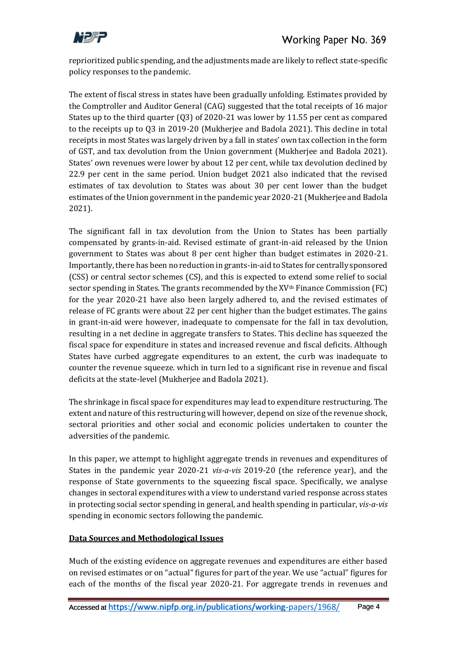

reprioritized public spending, and the adjustments made are likely to reflect state-specific policy responses to the pandemic.

The extent of fiscal stress in states have been gradually unfolding. Estimates provided by the Comptroller and Auditor General (CAG) suggested that the total receipts of 16 major States up to the third quarter (Q3) of 2020-21 was lower by 11.55 per cent as compared to the receipts up to Q3 in 2019-20 (Mukherjee and Badola 2021). This decline in total receipts in most States was largely driven by a fall in states' own tax collection in the form of GST, and tax devolution from the Union government (Mukherjee and Badola 2021). States' own revenues were lower by about 12 per cent, while tax devolution declined by 22.9 per cent in the same period. Union budget 2021 also indicated that the revised estimates of tax devolution to States was about 30 per cent lower than the budget estimates of the Union government in the pandemic year 2020-21 (Mukherjee and Badola 2021).

The significant fall in tax devolution from the Union to States has been partially compensated by grants-in-aid. Revised estimate of grant-in-aid released by the Union government to States was about 8 per cent higher than budget estimates in 2020-21. Importantly, there has been no reduction in grants-in-aid to States for centrally sponsored (CSS) or central sector schemes (CS), and this is expected to extend some relief to social sector spending in States. The grants recommended by the XV<sup>th</sup> Finance Commission (FC) for the year 2020-21 have also been largely adhered to, and the revised estimates of release of FC grants were about 22 per cent higher than the budget estimates. The gains in grant-in-aid were however, inadequate to compensate for the fall in tax devolution, resulting in a net decline in aggregate transfers to States. This decline has squeezed the fiscal space for expenditure in states and increased revenue and fiscal deficits. Although States have curbed aggregate expenditures to an extent, the curb was inadequate to counter the revenue squeeze. which in turn led to a significant rise in revenue and fiscal deficits at the state-level (Mukherjee and Badola 2021).

The shrinkage in fiscal space for expenditures may lead to expenditure restructuring. The extent and nature of this restructuring will however, depend on size of the revenue shock, sectoral priorities and other social and economic policies undertaken to counter the adversities of the pandemic.

In this paper, we attempt to highlight aggregate trends in revenues and expenditures of States in the pandemic year 2020-21 *vis-a-vis* 2019-20 (the reference year), and the response of State governments to the squeezing fiscal space. Specifically, we analyse changes in sectoral expenditures with a view to understand varied response across states in protecting social sector spending in general, and health spending in particular, *vis-a-vis* spending in economic sectors following the pandemic.

### **Data Sources and Methodological Issues**

Much of the existing evidence on aggregate revenues and expenditures are either based on revised estimates or on "actual" figures for part of the year. We use "actual" figures for each of the months of the fiscal year 2020-21. For aggregate trends in revenues and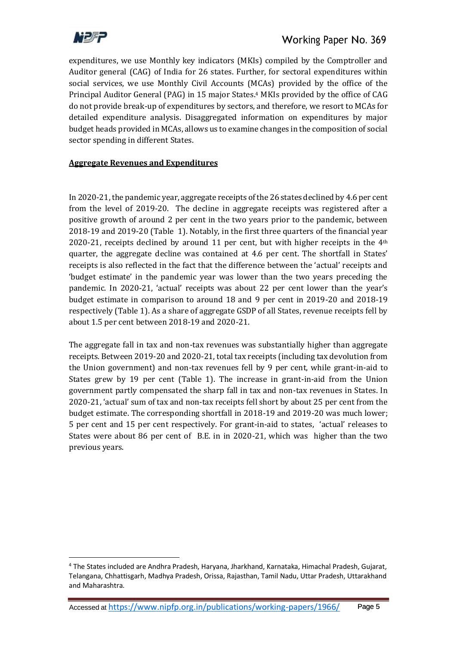

expenditures, we use Monthly key indicators (MKIs) compiled by the Comptroller and Auditor general (CAG) of India for 26 states. Further, for sectoral expenditures within social services, we use Monthly Civil Accounts (MCAs) provided by the office of the Principal Auditor General (PAG) in 15 major States. <sup>4</sup> MKIs provided by the office of CAG do not provide break-up of expenditures by sectors, and therefore, we resort to MCAs for detailed expenditure analysis. Disaggregated information on expenditures by major budget heads provided in MCAs, allows us to examine changes in the composition of social sector spending in different States.

### **Aggregate Revenues and Expenditures**

In 2020-21, the pandemic year, aggregate receipts of the 26 states declined by 4.6 per cent from the level of 2019-20. The decline in aggregate receipts was registered after a positive growth of around 2 per cent in the two years prior to the pandemic, between 2018-19 and 2019-20 (Table 1). Notably, in the first three quarters of the financial year 2020-21, receipts declined by around 11 per cent, but with higher receipts in the  $4<sup>th</sup>$ quarter, the aggregate decline was contained at 4.6 per cent. The shortfall in States' receipts is also reflected in the fact that the difference between the 'actual' receipts and 'budget estimate' in the pandemic year was lower than the two years preceding the pandemic. In 2020-21, 'actual' receipts was about 22 per cent lower than the year's budget estimate in comparison to around 18 and 9 per cent in 2019-20 and 2018-19 respectively (Table 1). As a share of aggregate GSDP of all States, revenue receipts fell by about 1.5 per cent between 2018-19 and 2020-21.

The aggregate fall in tax and non-tax revenues was substantially higher than aggregate receipts. Between 2019-20 and 2020-21, total tax receipts (including tax devolution from the Union government) and non-tax revenues fell by 9 per cent, while grant-in-aid to States grew by 19 per cent (Table 1). The increase in grant-in-aid from the Union government partly compensated the sharp fall in tax and non-tax revenues in States. In 2020-21, 'actual' sum of tax and non-tax receipts fell short by about 25 per cent from the budget estimate. The corresponding shortfall in 2018-19 and 2019-20 was much lower; 5 per cent and 15 per cent respectively. For grant-in-aid to states, 'actual' releases to States were about 86 per cent of B.E. in in 2020-21, which was higher than the two previous years.

<sup>4</sup> The States included are Andhra Pradesh, Haryana, Jharkhand, Karnataka, Himachal Pradesh, Gujarat, Telangana, Chhattisgarh, Madhya Pradesh, Orissa, Rajasthan, Tamil Nadu, Uttar Pradesh, Uttarakhand and Maharashtra.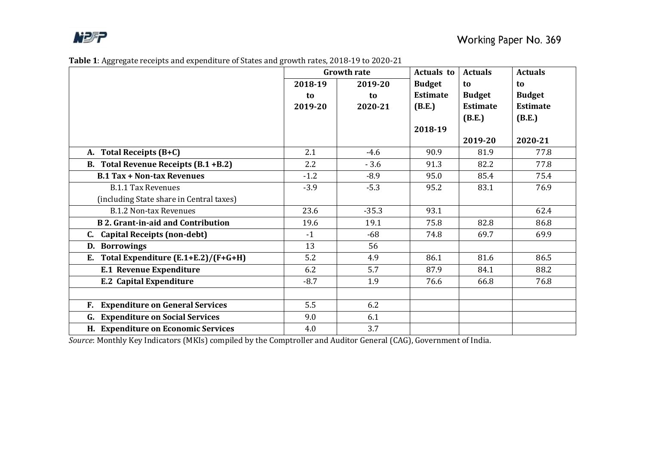

| Table 1: Aggregate receipts and expenditure of States and growth rates, 2018-19 to 2020-21 |
|--------------------------------------------------------------------------------------------|
|--------------------------------------------------------------------------------------------|

|                                           |         | <b>Growth rate</b> | <b>Actuals to</b> | <b>Actuals</b>  | <b>Actuals</b>  |
|-------------------------------------------|---------|--------------------|-------------------|-----------------|-----------------|
|                                           | 2018-19 | 2019-20            | <b>Budget</b>     | to              | to              |
|                                           | to      | to                 | <b>Estimate</b>   | <b>Budget</b>   | <b>Budget</b>   |
|                                           | 2019-20 | 2020-21            | (B.E.)            | <b>Estimate</b> | <b>Estimate</b> |
|                                           |         |                    |                   | (B.E.)          | (B.E.)          |
|                                           |         |                    | 2018-19           |                 |                 |
|                                           |         |                    |                   | 2019-20         | 2020-21         |
| A. Total Receipts (B+C)                   | 2.1     | $-4.6$             | 90.9              | 81.9            | 77.8            |
| B. Total Revenue Receipts (B.1 +B.2)      | 2.2     | $-3.6$             | 91.3              | 82.2            | 77.8            |
| <b>B.1 Tax + Non-tax Revenues</b>         | $-1.2$  | $-8.9$             | 95.0              | 85.4            | 75.4            |
| <b>B.1.1 Tax Revenues</b>                 | $-3.9$  | $-5.3$             | 95.2              | 83.1            | 76.9            |
| (including State share in Central taxes)  |         |                    |                   |                 |                 |
| <b>B.1.2 Non-tax Revenues</b>             | 23.6    | $-35.3$            | 93.1              |                 | 62.4            |
| <b>B 2. Grant-in-aid and Contribution</b> | 19.6    | 19.1               | 75.8              | 82.8            | 86.8            |
| <b>Capital Receipts (non-debt)</b>        | $-1$    | $-68$              | 74.8              | 69.7            | 69.9            |
| <b>Borrowings</b><br>D.                   | 13      | 56                 |                   |                 |                 |
| Total Expenditure (E.1+E.2)/(F+G+H)<br>E. | 5.2     | 4.9                | 86.1              | 81.6            | 86.5            |
| <b>E.1 Revenue Expenditure</b>            | 6.2     | 5.7                | 87.9              | 84.1            | 88.2            |
| <b>E.2 Capital Expenditure</b>            | $-8.7$  | 1.9                | 76.6              | 66.8            | 76.8            |
|                                           |         |                    |                   |                 |                 |
| F. Expenditure on General Services        | 5.5     | 6.2                |                   |                 |                 |
| <b>G.</b> Expenditure on Social Services  | 9.0     | 6.1                |                   |                 |                 |
| H. Expenditure on Economic Services       | 4.0     | 3.7                |                   |                 |                 |

*Source*: Monthly Key Indicators (MKIs) compiled by the Comptroller and Auditor General (CAG), Government of India.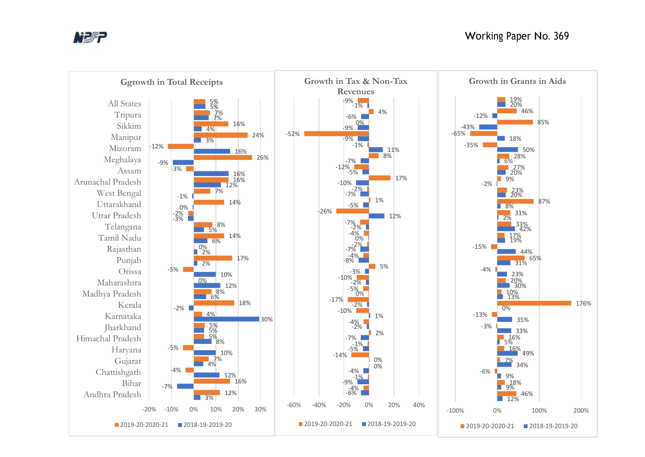

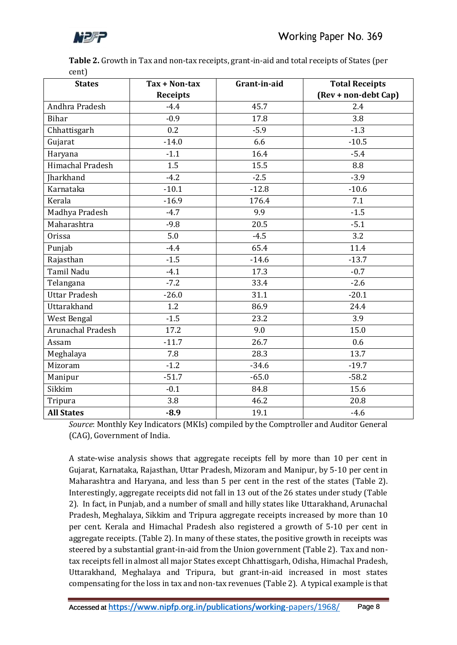

**Table 2.** Growth in Tax and non-tax receipts, grant-in-aid and total receipts of States (per cent)

| <b>States</b>     | Tax + Non-tax   | Grant-in-aid | <b>Total Receipts</b> |
|-------------------|-----------------|--------------|-----------------------|
|                   | <b>Receipts</b> |              | (Rev + non-debt Cap)  |
| Andhra Pradesh    | $-4.4$          | 45.7         | 2.4                   |
| <b>Bihar</b>      | $-0.9$          | 17.8         | 3.8                   |
| Chhattisgarh      | 0.2             | $-5.9$       | $-1.3$                |
| Gujarat           | $-14.0$         | 6.6          | $-10.5$               |
| Haryana           | $-1.1$          | 16.4         | $-5.4$                |
| Himachal Pradesh  | 1.5             | 15.5         | 8.8                   |
| Jharkhand         | $-4.2$          | $-2.5$       | $-3.9$                |
| Karnataka         | $-10.1$         | $-12.8$      | $-10.6$               |
| Kerala            | $-16.9$         | 176.4        | 7.1                   |
| Madhya Pradesh    | $-4.7$          | 9.9          | $-1.5$                |
| Maharashtra       | $-9.8$          | 20.5         | $-5.1$                |
| <b>Orissa</b>     | 5.0             | $-4.5$       | 3.2                   |
| Punjab            | $-4.4$          | 65.4         | 11.4                  |
| Rajasthan         | $-1.5$          | $-14.6$      | $-13.7$               |
| <b>Tamil Nadu</b> | $-4.1$          | 17.3         | $-0.7$                |
| Telangana         | $-7.2$          | 33.4         | $-2.6$                |
| Uttar Pradesh     | $-26.0$         | 31.1         | $-20.1$               |
| Uttarakhand       | 1.2             | 86.9         | 24.4                  |
| West Bengal       | $-1.5$          | 23.2         | 3.9                   |
| Arunachal Pradesh | 17.2            | 9.0          | 15.0                  |
| Assam             | $-11.7$         | 26.7         | 0.6                   |
| Meghalaya         | 7.8             | 28.3         | 13.7                  |
| Mizoram           | $-1.2$          | $-34.6$      | $-19.7$               |
| Manipur           | $-51.7$         | $-65.0$      | $-58.2$               |
| Sikkim            | $-0.1$          | 84.8         | 15.6                  |
| Tripura           | 3.8             | 46.2         | 20.8                  |
| <b>All States</b> | $-8.9$          | 19.1         | $-4.6$                |

*Source*: Monthly Key Indicators (MKIs) compiled by the Comptroller and Auditor General (CAG), Government of India.

A state-wise analysis shows that aggregate receipts fell by more than 10 per cent in Gujarat, Karnataka, Rajasthan, Uttar Pradesh, Mizoram and Manipur, by 5-10 per cent in Maharashtra and Haryana, and less than 5 per cent in the rest of the states (Table 2). Interestingly, aggregate receipts did not fall in 13 out of the 26 states under study (Table 2). In fact, in Punjab, and a number of small and hilly states like Uttarakhand, Arunachal Pradesh, Meghalaya, Sikkim and Tripura aggregate receipts increased by more than 10 per cent. Kerala and Himachal Pradesh also registered a growth of 5-10 per cent in aggregate receipts. (Table 2). In many of these states, the positive growth in receipts was steered by a substantial grant-in-aid from the Union government (Table 2). Tax and nontax receipts fell in almost all major States except Chhattisgarh, Odisha, Himachal Pradesh, Uttarakhand, Meghalaya and Tripura, but grant-in-aid increased in most states compensating for the loss in tax and non-tax revenues (Table 2). A typical example is that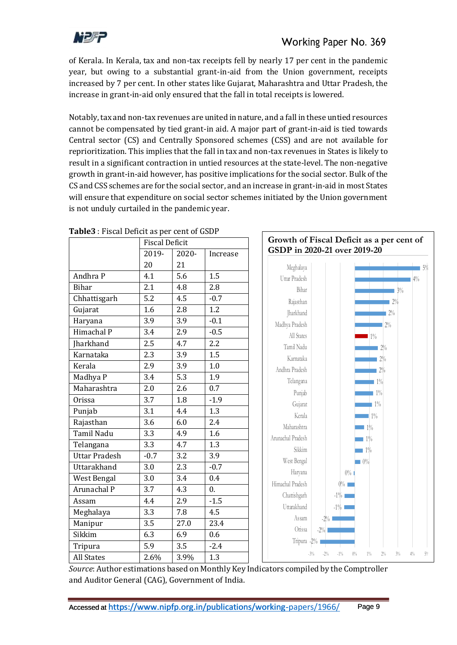

of Kerala. In Kerala, tax and non-tax receipts fell by nearly 17 per cent in the pandemic year, but owing to a substantial grant-in-aid from the Union government, receipts increased by 7 per cent. In other states like Gujarat, Maharashtra and Uttar Pradesh, the increase in grant-in-aid only ensured that the fall in total receipts is lowered.

Notably, tax and non-tax revenues are united in nature, and a fall in these untied resources cannot be compensated by tied grant-in aid. A major part of grant-in-aid is tied towards Central sector (CS) and Centrally Sponsored schemes (CSS) and are not available for reprioritization. This implies that the fall in tax and non-tax revenues in States is likely to result in a significant contraction in untied resources at the state-level. The non-negative growth in grant-in-aid however, has positive implications for the social sector. Bulk of the CS and CSS schemes are for the social sector, and an increase in grant-in-aid in most States will ensure that expenditure on social sector schemes initiated by the Union government is not unduly curtailed in the pandemic year.

|                      | <b>Fiscal Deficit</b> |       |          | Growth of Fiscal Deficit as a per cent of                                     |
|----------------------|-----------------------|-------|----------|-------------------------------------------------------------------------------|
|                      | 2019-                 | 2020- | Increase | GSDP in 2020-21 over 2019-20                                                  |
|                      | 20                    | 21    |          | Meghalaya<br>$5\%$                                                            |
| Andhra P             | 4.1                   | 5.6   | 1.5      | Uttar Pradesh<br>$4\%$                                                        |
| <b>Bihar</b>         | 2.1                   | 4.8   | 2.8      | Bihar<br>$3\%$                                                                |
| Chhattisgarh         | 5.2                   | 4.5   | $-0.7$   | $12\%$<br>Rajasthan                                                           |
| Gujarat              | 1.6                   | 2.8   | 1.2      | Jharkhand<br>$2\%$                                                            |
| Haryana              | 3.9                   | 3.9   | $-0.1$   | Madhya Pradesh<br>$2\%$                                                       |
| Himachal P           | 3.4                   | 2.9   | $-0.5$   | All States<br>$\blacksquare$ 1%                                               |
| <b>Iharkhand</b>     | 2.5                   | 4.7   | 2.2      | Tamil Nadu<br>$2\%$                                                           |
| Karnataka            | 2.3                   | 3.9   | 1.5      | Karnataka<br>$2\%$                                                            |
| Kerala               | 2.9                   | 3.9   | 1.0      | Andhra Pradesh<br>$2\%$                                                       |
| Madhya P             | 3.4                   | 5.3   | 1.9      | Telangana<br>$1\%$                                                            |
| Maharashtra          | 2.0                   | 2.6   | 0.7      | Punjab<br>$1\%$                                                               |
| Orissa               | 3.7                   | 1.8   | $-1.9$   | $1\%$<br>Gujarat                                                              |
| Punjab               | 3.1                   | 4.4   | 1.3      | Kerala<br>$1\%$                                                               |
| Rajasthan            | 3.6                   | 6.0   | 2.4      | Maharashtra<br>$1\%$                                                          |
| Tamil Nadu           | 3.3                   | 4.9   | 1.6      | Arunachal Pradesh<br>$1\%$                                                    |
| Telangana            | 3.3                   | 4.7   | 1.3      | Sikkim<br>$\blacksquare$ 1%                                                   |
| <b>Uttar Pradesh</b> | $-0.7$                | 3.2   | 3.9      | West Bengal<br>$-10%$                                                         |
| Uttarakhand          | 3.0                   | 2.3   | $-0.7$   | Haryana<br>$0\%$ 1                                                            |
| West Bengal          | 3.0                   | 3.4   | 0.4      | Himachal Pradesh<br>$0\%$                                                     |
| Arunachal P          | 3.7                   | 4.3   | 0.       | Chattishgarh<br>$-1\%$                                                        |
| Assam                | 4.4                   | 2.9   | $-1.5$   | Uttarakhand<br>$-1\%$                                                         |
| Meghalaya            | 3.3                   | 7.8   | 4.5      | Assam                                                                         |
| Manipur              | 3.5                   | 27.0  | 23.4     | $-2\%$<br>Orissa                                                              |
| Sikkim               | 6.3                   | 6.9   | 0.6      | $-2\%$                                                                        |
| Tripura              | 5.9                   | 3.5   | $-2.4$   | Tripura -2%                                                                   |
| <b>All States</b>    | 2.6%                  | 3.9%  | 1.3      | $3\%$<br>$-3\%$<br>$-2\%$<br>$-1\%$<br>$0\%$<br>$1\%$<br>$2\%$<br>$4\%$<br>5% |

**Table3** : Fiscal Deficit as per cent of GSDP

*Source*: Author estimations based on Monthly Key Indicators compiled by the Comptroller and Auditor General (CAG), Government of India.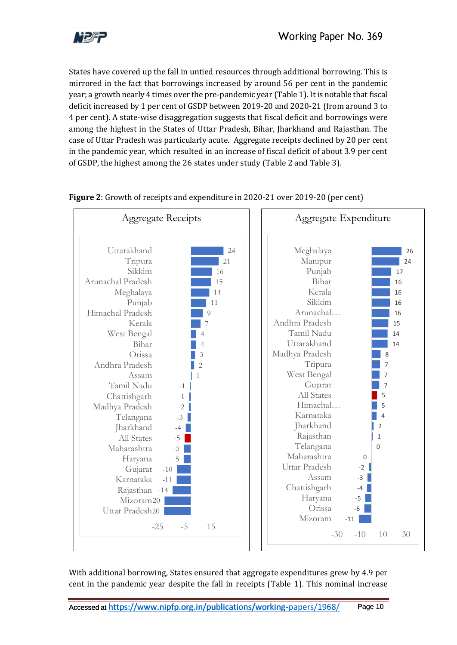

States have covered up the fall in untied resources through additional borrowing. This is mirrored in the fact that borrowings increased by around 56 per cent in the pandemic year; a growth nearly 4 times over the pre-pandemic year (Table 1). It is notable that fiscal deficit increased by 1 per cent of GSDP between 2019-20 and 2020-21 (from around 3 to 4 per cent). A state-wise disaggregation suggests that fiscal deficit and borrowings were among the highest in the States of Uttar Pradesh, Bihar, Jharkhand and Rajasthan. The case of Uttar Pradesh was particularly acute. Aggregate receipts declined by 20 per cent in the pandemic year, which resulted in an increase of fiscal deficit of about 3.9 per cent of GSDP, the highest among the 26 states under study (Table 2 and Table 3).



### **Figure 2**: Growth of receipts and expenditure in 2020-21 over 2019-20 (per cent)

With additional borrowing, States ensured that aggregate expenditures grew by 4.9 per cent in the pandemic year despite the fall in receipts (Table 1). This nominal increase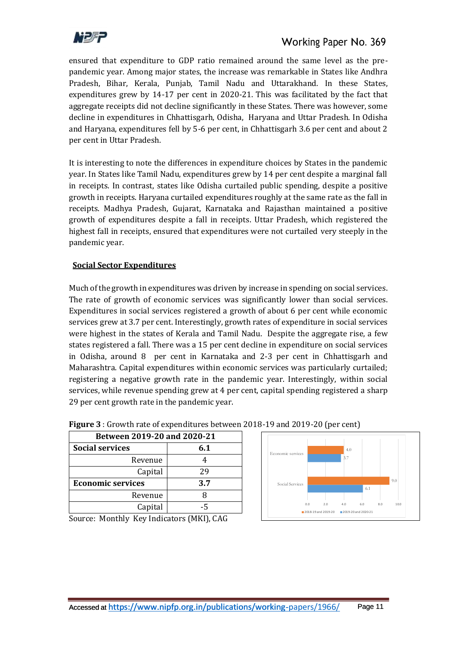

ensured that expenditure to GDP ratio remained around the same level as the prepandemic year. Among major states, the increase was remarkable in States like Andhra Pradesh, Bihar, Kerala, Punjab, Tamil Nadu and Uttarakhand. In these States, expenditures grew by 14-17 per cent in 2020-21. This was facilitated by the fact that aggregate receipts did not decline significantly in these States. There was however, some decline in expenditures in Chhattisgarh, Odisha, Haryana and Uttar Pradesh. In Odisha and Haryana, expenditures fell by 5-6 per cent, in Chhattisgarh 3.6 per cent and about 2 per cent in Uttar Pradesh.

It is interesting to note the differences in expenditure choices by States in the pandemic year. In States like Tamil Nadu, expenditures grew by 14 per cent despite a marginal fall in receipts. In contrast, states like Odisha curtailed public spending, despite a positive growth in receipts. Haryana curtailed expenditures roughly at the same rate as the fall in receipts. Madhya Pradesh, Gujarat, Karnataka and Rajasthan maintained a positive growth of expenditures despite a fall in receipts. Uttar Pradesh, which registered the highest fall in receipts, ensured that expenditures were not curtailed very steeply in the pandemic year.

### **Social Sector Expenditures**

Much of the growth in expenditures was driven by increase in spending on social services. The rate of growth of economic services was significantly lower than social services. Expenditures in social services registered a growth of about 6 per cent while economic services grew at 3.7 per cent. Interestingly, growth rates of expenditure in social services were highest in the states of Kerala and Tamil Nadu. Despite the aggregate rise, a few states registered a fall. There was a 15 per cent decline in expenditure on social services in Odisha, around 8 per cent in Karnataka and 2-3 per cent in Chhattisgarh and Maharashtra. Capital expenditures within economic services was particularly curtailed; registering a negative growth rate in the pandemic year. Interestingly, within social services, while revenue spending grew at 4 per cent, capital spending registered a sharp 29 per cent growth rate in the pandemic year.

| <b>Between 2019-20 and 2020-21</b> |     |  |  |
|------------------------------------|-----|--|--|
| <b>Social services</b>             | 6.1 |  |  |
| Revenue                            |     |  |  |
| Capital                            | 29  |  |  |
| <b>Economic services</b>           | 3.7 |  |  |
| Revenue                            |     |  |  |
| Capital                            |     |  |  |

## **Figure 3** : Growth rate of expenditures between 2018-19 and 2019-20 (per cent)



Source: Monthly Key Indicators (MKI), CAG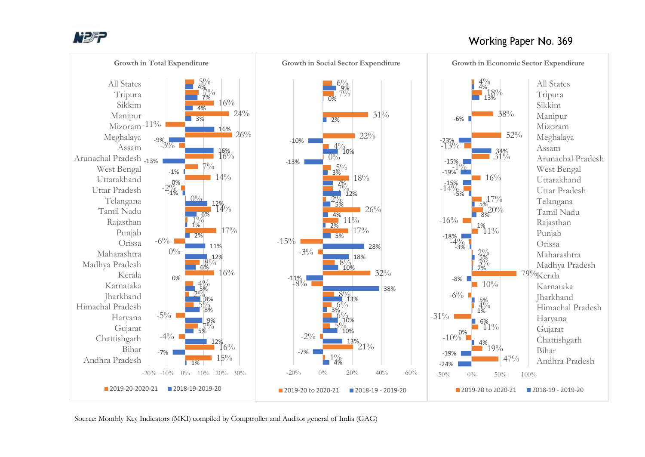

## Working Paper No. 369



Source: Monthly Key Indicators (MKI) compiled by Comptroller and Auditor general of India (GAG)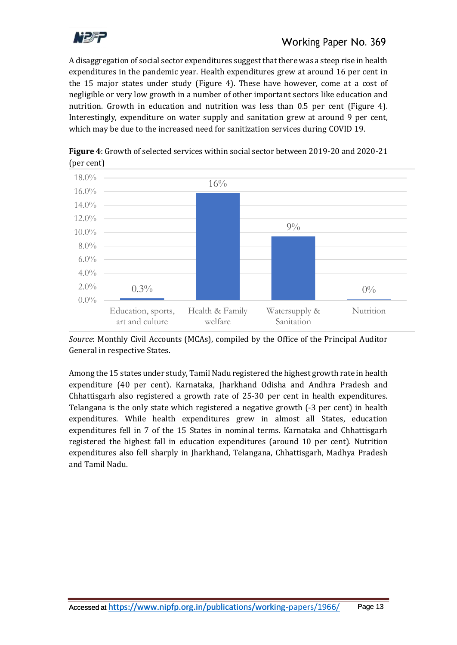

A disaggregation of social sector expenditures suggest that there was a steep rise in health expenditures in the pandemic year. Health expenditures grew at around 16 per cent in the 15 major states under study (Figure 4). These have however, come at a cost of negligible or very low growth in a number of other important sectors like education and nutrition. Growth in education and nutrition was less than 0.5 per cent (Figure 4). Interestingly, expenditure on water supply and sanitation grew at around 9 per cent, which may be due to the increased need for sanitization services during COVID 19.



**Figure 4**: Growth of selected services within social sector between 2019-20 and 2020-21 (per cent)

*Source*: Monthly Civil Accounts (MCAs), compiled by the Office of the Principal Auditor General in respective States.

Among the 15 states under study, Tamil Nadu registered the highest growth rate in health expenditure (40 per cent). Karnataka, Jharkhand Odisha and Andhra Pradesh and Chhattisgarh also registered a growth rate of 25-30 per cent in health expenditures. Telangana is the only state which registered a negative growth (-3 per cent) in health expenditures. While health expenditures grew in almost all States, education expenditures fell in 7 of the 15 States in nominal terms. Karnataka and Chhattisgarh registered the highest fall in education expenditures (around 10 per cent). Nutrition expenditures also fell sharply in Jharkhand, Telangana, Chhattisgarh, Madhya Pradesh and Tamil Nadu.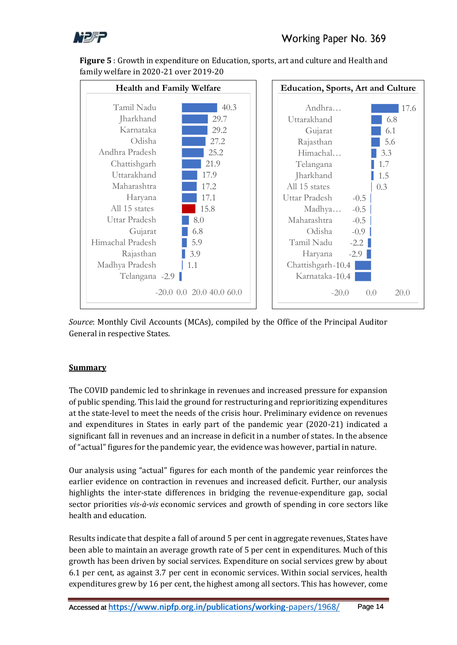![](_page_13_Picture_0.jpeg)

**Figure 5** : Growth in expenditure on Education, sports, art and culture and Health and family welfare in 2020-21 over 2019-20

![](_page_13_Figure_3.jpeg)

*Source*: Monthly Civil Accounts (MCAs), compiled by the Office of the Principal Auditor General in respective States.

## **Summary**

The COVID pandemic led to shrinkage in revenues and increased pressure for expansion of public spending. This laid the ground for restructuring and reprioritizing expenditures at the state-level to meet the needs of the crisis hour. Preliminary evidence on revenues and expenditures in States in early part of the pandemic year (2020-21) indicated a significant fall in revenues and an increase in deficit in a number of states. In the absence of "actual" figures for the pandemic year, the evidence was however, partial in nature.

Our analysis using "actual" figures for each month of the pandemic year reinforces the earlier evidence on contraction in revenues and increased deficit. Further, our analysis highlights the inter-state differences in bridging the revenue-expenditure gap, social sector priorities *vis-à-vis* economic services and growth of spending in core sectors like health and education.

Results indicate that despite a fall of around 5 per cent in aggregate revenues, States have been able to maintain an average growth rate of 5 per cent in expenditures. Much of this growth has been driven by social services. Expenditure on social services grew by about 6.1 per cent, as against 3.7 per cent in economic services. Within social services, health expenditures grew by 16 per cent, the highest among all sectors. This has however, come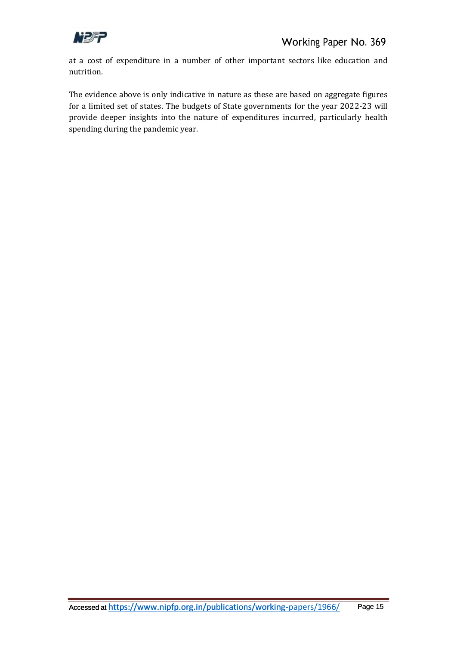![](_page_14_Picture_0.jpeg)

at a cost of expenditure in a number of other important sectors like education and nutrition.

The evidence above is only indicative in nature as these are based on aggregate figures for a limited set of states. The budgets of State governments for the year 2022-23 will provide deeper insights into the nature of expenditures incurred, particularly health spending during the pandemic year.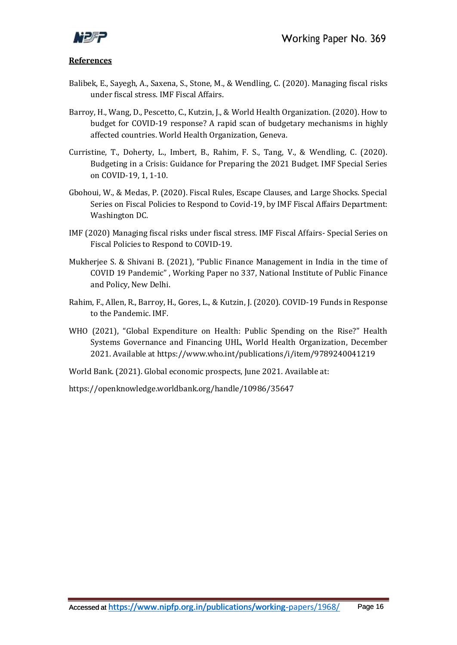![](_page_15_Picture_0.jpeg)

#### **References**

- Balibek, E., Sayegh, A., Saxena, S., Stone, M., & Wendling, C. (2020). Managing fiscal risks under fiscal stress. IMF Fiscal Affairs.
- Barroy, H., Wang, D., Pescetto, C., Kutzin, J., & World Health Organization. (2020). How to budget for COVID-19 response? A rapid scan of budgetary mechanisms in highly affected countries. World Health Organization, Geneva.
- Curristine, T., Doherty, L., Imbert, B., Rahim, F. S., Tang, V., & Wendling, C. (2020). Budgeting in a Crisis: Guidance for Preparing the 2021 Budget. IMF Special Series on COVID-19, 1, 1-10.
- Gbohoui, W., & Medas, P. (2020). Fiscal Rules, Escape Clauses, and Large Shocks. Special Series on Fiscal Policies to Respond to Covid-19, by IMF Fiscal Affairs Department: Washington DC.
- IMF (2020) Managing fiscal risks under fiscal stress. IMF Fiscal Affairs- Special Series on Fiscal Policies to Respond to COVID-19.
- Mukherjee S. & Shivani B. (2021), "Public Finance Management in India in the time of COVID 19 Pandemic" , Working Paper no 337, National Institute of Public Finance and Policy, New Delhi.
- Rahim, F., Allen, R., Barroy, H., Gores, L., & Kutzin, J. (2020). COVID-19 Funds in Response to the Pandemic. IMF.
- WHO (2021), "Global Expenditure on Health: Public Spending on the Rise?" Health Systems Governance and Financing UHL, World Health Organization, December 2021. Available at https://www.who.int/publications/i/item/9789240041219

World Bank. (2021). Global economic prospects, June 2021. Available at:

https://openknowledge.worldbank.org/handle/10986/35647